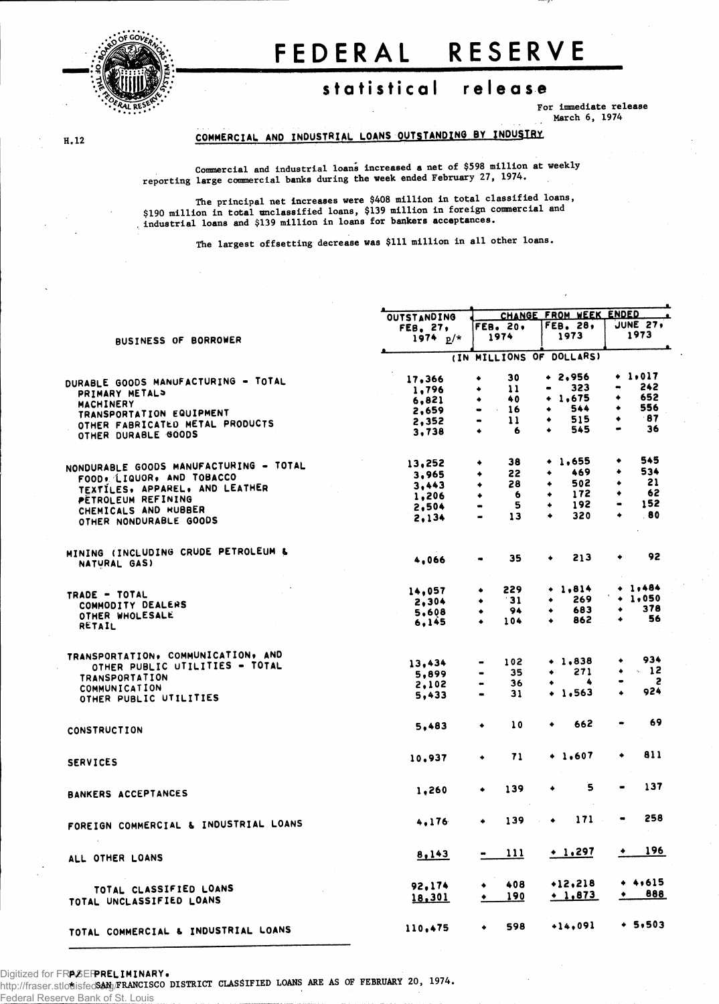

# FEDERAL RESERVE

## statistical release

For Immediate release March 6, 1974

### COMMERCIAL AND INDUSTRIAL LOANS OUTSTANDING BY INDUSTRY

 $H.12$ 

Commercial and industrial loans increased a net of \$598 million at weekly reporting large commercial banks during the week ended February 27, 1974.

The principal net Increases were \$408 million in total classified loans, \$190 million in total unclassified loans, \$139 million in foreign commercial and industrial loans and \$139 million in loans for bankers acceptances.

The largest offsetting decrease was \$111 million in all other loans.

|                                        |                    | CHANGE FROM WEEK ENDED                               |                         |                                     |  |  |  |
|----------------------------------------|--------------------|------------------------------------------------------|-------------------------|-------------------------------------|--|--|--|
|                                        | <b>OUTSTANDING</b> |                                                      | $\bullet$               |                                     |  |  |  |
|                                        | FEB. 27,           | FEB. 20.                                             | FEB. 28,                | JUNE 27,                            |  |  |  |
| <b>BUSINESS OF BORROWER</b>            | 1974 $p/*$         | 1974                                                 | 1973                    | 1973                                |  |  |  |
|                                        |                    |                                                      |                         |                                     |  |  |  |
|                                        |                    | (IN MILLIONS OF DOLLARS)                             |                         |                                     |  |  |  |
|                                        | 17,366             | 30<br>۰                                              | $+ 2,956$               | $+ 1.017$                           |  |  |  |
| DURABLE GOODS MANUFACTURING - TOTAL    | 1,796              | $\mathbf{11}$<br>۰                                   | 323<br>$\bullet$        | 242<br>$\qquad \qquad \blacksquare$ |  |  |  |
| PRIMARY METAL>                         | 6,821              | 40<br>۰                                              | 1,675<br>٠              | 652<br>۰                            |  |  |  |
| <b>MACHINERY</b>                       |                    | 16<br>$\sim 10^{-1}$<br>$\qquad \qquad \blacksquare$ | 544<br>۰                | 556<br>٠                            |  |  |  |
| TRANSPORTATION EQUIPMENT               | 2,659              | 11<br>$\qquad \qquad \bullet$                        | 515<br>٠                | - 87<br>٠                           |  |  |  |
| OTHER FABRICATED METAL PRODUCTS        | 2,352              |                                                      | 545<br>$\bullet$        | 36<br>$\bullet$                     |  |  |  |
| OTHER DURABLE GOODS                    | 3,738              | ٠<br>6                                               |                         |                                     |  |  |  |
|                                        |                    |                                                      |                         | 545                                 |  |  |  |
| NONDURABLE GOODS MANUFACTURING - TOTAL | 13,252             | 38<br>٠                                              | $+1,655$                |                                     |  |  |  |
| FOOD ALIQUOR, AND TOBACCO              | 3,965              | 22<br>٠                                              | 469<br>٠                | 534<br>۰                            |  |  |  |
| TEXTILES, APPAREL, AND LEATHER         | 3,443              | 28<br>٠                                              | 502                     | 21<br>٠                             |  |  |  |
|                                        | 1,206              | 6<br>٠                                               | 172                     | 62<br>۰                             |  |  |  |
| PETROLEUM REFINING                     | 2,504              | 5<br>$\blacksquare$                                  | 192                     | 152<br>$\qquad \qquad \blacksquare$ |  |  |  |
| CHEMICALS AND RUBBER                   | 2.134              | 13<br>$\bullet$                                      | 320<br>$\blacktriangle$ | .80<br>٠                            |  |  |  |
| OTHER NONDURABLE GOODS                 |                    |                                                      |                         |                                     |  |  |  |
|                                        |                    |                                                      |                         |                                     |  |  |  |
| MINING (INCLUDING CRUDE PETROLEUM &    | 4,066              | 35                                                   | 213<br>٠                | 92<br>٠                             |  |  |  |
| NATURAL GAS)                           |                    |                                                      |                         |                                     |  |  |  |
|                                        |                    | 229<br>۰                                             | $+ 1,814$               | + 1,484                             |  |  |  |
| TRADE - TOTAL                          | 14,057             | - 31                                                 | 269<br>٠                | $+ 1,050$                           |  |  |  |
| COMMODITY DEALERS                      | 2,304              |                                                      | 683                     | 378<br>٠                            |  |  |  |
| OTHER WHOLESALE                        | 5,608              | 94<br>٠                                              | 862                     | 56                                  |  |  |  |
| RETAIL                                 | 6,145              | 104<br>۰                                             |                         |                                     |  |  |  |
|                                        |                    |                                                      |                         |                                     |  |  |  |
| TRANSPORTATION, COMMUNICATION, AND     |                    | 102                                                  | $+ 1.838$               | 934<br>۰                            |  |  |  |
| OTHER PUBLIC UTILITIES - TOTAL         | 13,434             |                                                      | 271                     | $\sim$ 12<br>٠                      |  |  |  |
| TRANSPORTATION                         | 5,899              | 35<br>$\bullet$                                      | ٠                       | 2<br>$\bullet$                      |  |  |  |
| COMMUNICATION                          | 2.102              | 36<br>$\bullet$                                      | 4<br>٠                  | 924                                 |  |  |  |
| OTHER PUBLIC UTILITIES                 | 5,433              | 31<br>$\blacksquare$                                 | $+1,563$                | ٠                                   |  |  |  |
|                                        |                    |                                                      |                         | 69                                  |  |  |  |
| CONSTRUCTION                           | 5.483              | 10<br>۰                                              | 662<br>٠                |                                     |  |  |  |
|                                        |                    |                                                      |                         | 811<br>٠                            |  |  |  |
| <b>SERVICES</b>                        | 10,937             | 71<br>۰                                              | $+ 1.607$               |                                     |  |  |  |
|                                        |                    |                                                      | 5                       | 137                                 |  |  |  |
| BANKERS ACCEPTANCES                    | 1,260              | 139<br>٠                                             | ۰                       |                                     |  |  |  |
|                                        |                    |                                                      | 171                     | 258<br>$\blacksquare$               |  |  |  |
| FOREIGN COMMERCIAL & INDUSTRIAL LOANS  | 4.176              | 139<br>٠                                             | ۰                       |                                     |  |  |  |
|                                        |                    |                                                      |                         | <u>196</u><br>۰                     |  |  |  |
| ALL OTHER LOANS                        | 8,143              | 111                                                  | $+ 1.297$               |                                     |  |  |  |
|                                        |                    | 408                                                  | $+12,218$               | $+ 4,615$                           |  |  |  |
| TOTAL CLASSIFIED LOANS                 | 92,174             |                                                      |                         | 888<br>٠                            |  |  |  |
| TOTAL UNCLASSIFIED LOANS               | 18,301             | 190<br>۰                                             | $+1,873$                |                                     |  |  |  |
|                                        |                    | 598                                                  | $+14,091$               | $+ 5,503$                           |  |  |  |
| TOTAL COMMERCIAL & INDUSTRIAL LOANS    | 110,475            | ۰                                                    |                         |                                     |  |  |  |
|                                        |                    |                                                      |                         |                                     |  |  |  |

Digitized for FRASERRRELIMINARY.

http://fraser.stlouisfed**SAN<sub>J/</sub>FRANCISCO DISTRICT CLASSIFIED LOANS ARE AS OF FEBRUARY 20, 1974.** 

Federal Reserve Bank of St. Louis